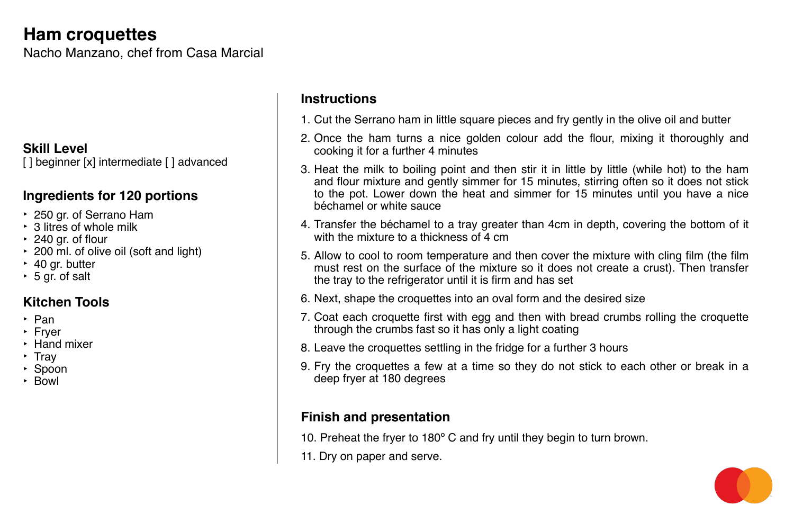# **Ham croquettes**

Nacho Manzano, chef from Casa Marcial

#### **Skill Level**

[] beginner [x] intermediate [] advanced

### **Ingredients for 120 portions**

- ‣ 250 gr. of Serrano Ham
- ‣ 3 litres of whole milk
- ‣ 240 gr. of flour
- ‣ 200 ml. of olive oil (soft and light)
- ‣ 40 gr. butter
- ‣ 5 gr. of salt

## **Kitchen Tools**

- ‣ Pan
- ‣ Fryer
- ‣ Hand mixer
- ‣ Tray
- ‣ Spoon
- ‣ Bowl

## **Instructions**

1. Cut the Serrano ham in little square pieces and fry gently in the olive oil and butter

2. Once the ham turns a nice golden colour add the flour, mixing it thoroughly and

3. Heat the milk to boiling point and then stir it in little by little (while hot) to the ham and flour mixture and gently simmer for 15 minutes, stirring often so it does not stick to the pot. Lower down the heat and simmer for 15 minutes until you have a nice

4. Transfer the béchamel to a tray greater than 4cm in depth, covering the bottom of it with the mixture to a thickness of 4 cm

- 
- cooking it for a further 4 minutes
- béchamel or white sauce
- 
- 
- 
- 
- 
- deep fryer at 180 degrees

5. Allow to cool to room temperature and then cover the mixture with cling film (the film must rest on the surface of the mixture so it does not create a crust). Then transfer the tray to the refrigerator until it is firm and has set

6. Next, shape the croquettes into an oval form and the desired size

7. Coat each croquette first with egg and then with bread crumbs rolling the croquette through the crumbs fast so it has only a light coating

8. Leave the croquettes settling in the fridge for a further 3 hours

9. Fry the croquettes a few at a time so they do not stick to each other or break in a

### **Finish and presentation**

10. Preheat the fryer to 180º C and fry until they begin to turn brown.



- 
- 11. Dry on paper and serve.